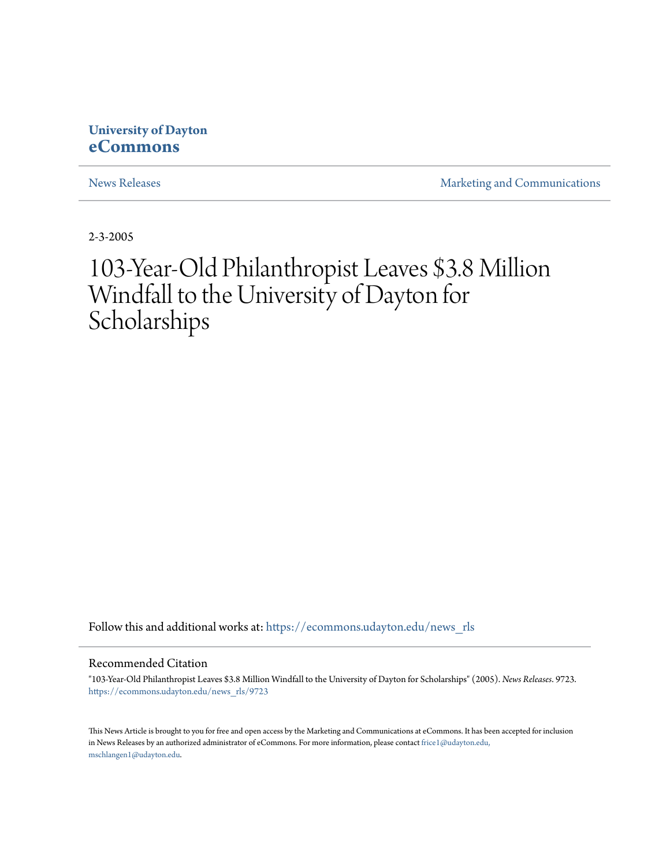## **University of Dayton [eCommons](https://ecommons.udayton.edu?utm_source=ecommons.udayton.edu%2Fnews_rls%2F9723&utm_medium=PDF&utm_campaign=PDFCoverPages)**

[News Releases](https://ecommons.udayton.edu/news_rls?utm_source=ecommons.udayton.edu%2Fnews_rls%2F9723&utm_medium=PDF&utm_campaign=PDFCoverPages) **[Marketing and Communications](https://ecommons.udayton.edu/mktg_com?utm_source=ecommons.udayton.edu%2Fnews_rls%2F9723&utm_medium=PDF&utm_campaign=PDFCoverPages)** 

2-3-2005

## 103-Year-Old Philanthropist Leaves \$3.8 Million Windfall to the University of Dayton for Scholarships

Follow this and additional works at: [https://ecommons.udayton.edu/news\\_rls](https://ecommons.udayton.edu/news_rls?utm_source=ecommons.udayton.edu%2Fnews_rls%2F9723&utm_medium=PDF&utm_campaign=PDFCoverPages)

Recommended Citation

"103-Year-Old Philanthropist Leaves \$3.8 Million Windfall to the University of Dayton for Scholarships" (2005). *News Releases*. 9723. [https://ecommons.udayton.edu/news\\_rls/9723](https://ecommons.udayton.edu/news_rls/9723?utm_source=ecommons.udayton.edu%2Fnews_rls%2F9723&utm_medium=PDF&utm_campaign=PDFCoverPages)

This News Article is brought to you for free and open access by the Marketing and Communications at eCommons. It has been accepted for inclusion in News Releases by an authorized administrator of eCommons. For more information, please contact [frice1@udayton.edu,](mailto:frice1@udayton.edu,%20mschlangen1@udayton.edu) [mschlangen1@udayton.edu.](mailto:frice1@udayton.edu,%20mschlangen1@udayton.edu)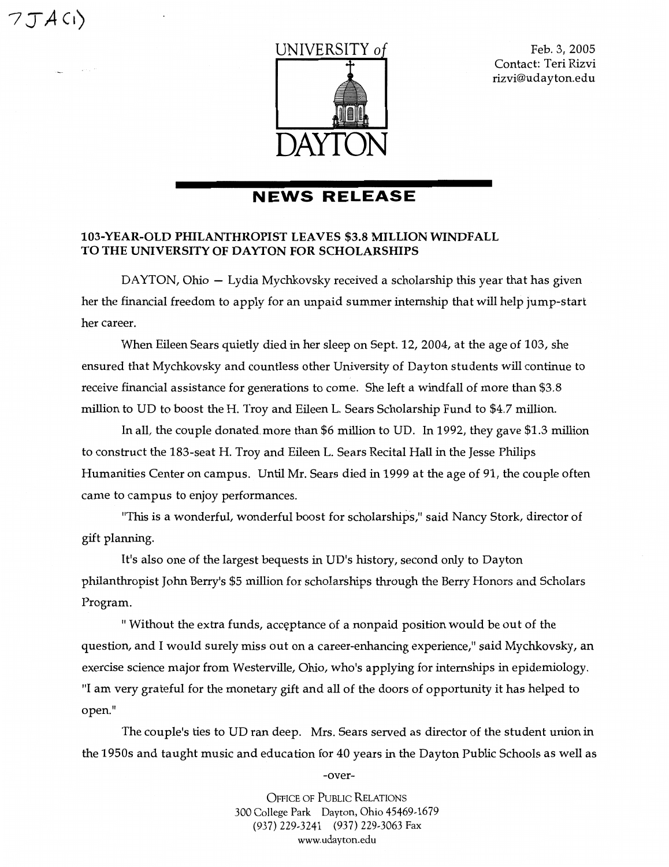7JACI)

in the



Feb.3,2005 Contact: Teri Rizvi rizvi@udayton.edu

## **NEWS RELEASE**

## 103-YEAR-OLD PHILANfHROPIST LEAVES \$3.8 MILLION WINDFALL TO THE UNIVERSITY OF DAYTON FOR SCHOLARSHIPS

DAYTON, Ohio – Lydia Mychkovsky received a scholarship this year that has given her the financial freedom to apply for an unpaid summer internship that will help jump-start her career.

When Eileen Sears quietly died in her sleep on Sept. 12, 2004, at the age of 103, she ensured that Mychkovsky and countless other University of Dayton students will continue to receive financial assistance for generations to come. She left a windfall of more than \$3.8 million to UD to boost the H. Troy and Eileen L. Sears Scholarship Fund to \$4.7 million.

In all, the couple donated.more than \$6 million to UD. In 1992, they gave \$1.3 million to construct the 183-seat H. Troy and Eileen L. Sears Recital Hall in the Jesse Philips Humanities Center on campus. Until Mr. Sears died in 1999 at the age of 91, the couple often came to campus to enjoy performances.

"This is a wonderful, wonderful boost for scholarships," said Nancy Stork, director of gift planning.

It's also one of the largest bequests in UD's history, second only to Dayton philanthropist John Berry's \$5 million for scholarships through the Berry Honors and Scholars Program.

" Without the extra funds, acceptance of a nonpaid position would be out of the question, and I would surely miss out on a career-enhancing experience," said Mychkovsky, an exercise science major from Westerville, Ohio, who's applying for internships in epidemiology. "I am very grateful for the monetary gift and all of the doors of opportunity it has helped to open."

The couple's ties to UD ran deep. Mrs. Sears served as director of the student union in the 1950s and taught music and education for 40 years in the Dayton Public Schools as well as

-over-

OFFICE OF PUBLIC RELATIONS 300 College Park Dayton, Ohio 45469-1679 (937) 229-3241 (937) 229-3063 Fax www.udayton.edu